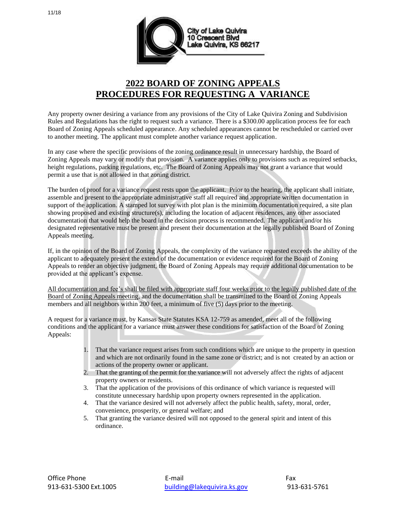

## **2022 BOARD OF ZONING APPEALS PROCEDURES FOR REQUESTING A VARIANCE**

Any property owner desiring a variance from any provisions of the City of Lake Quivira Zoning and Subdivision Rules and Regulations has the right to request such a variance. There is a \$300.00 application process fee for each Board of Zoning Appeals scheduled appearance. Any scheduled appearances cannot be rescheduled or carried over to another meeting. The applicant must complete another variance request application.

In any case where the specific provisions of the zoning ordinance result in unnecessary hardship, the Board of Zoning Appeals may vary or modify that provision. A variance applies only to provisions such as required setbacks, height regulations, parking regulations, etc. The Board of Zoning Appeals may not grant a variance that would permit a use that is not allowed in that zoning district.

The burden of proof for a variance request rests upon the applicant. Prior to the hearing, the applicant shall initiate, assemble and present to the appropriate administrative staff all required and appropriate written documentation in support of the application. A stamped lot survey with plot plan is the minimum documentation required, a site plan showing proposed and existing structure(s), including the location of adjacent residences, any other associated documentation that would help the board in the decision process is recommended. The applicant and/or his designated representative must be present and present their documentation at the legally published Board of Zoning Appeals meeting.

If, in the opinion of the Board of Zoning Appeals, the complexity of the variance requested exceeds the ability of the applicant to adequately present the extend of the documentation or evidence required for the Board of Zoning Appeals to render an objective judgment, the Board of Zoning Appeals may require additional documentation to be provided at the applicant's expense.

All documentation and fee's shall be filed with appropriate staff four weeks prior to the legally published date of the Board of Zoning Appeals meeting, and the documentation shall be transmitted to the Board of Zoning Appeals members and all neighbors within 200 feet, a minimum of five (5) days prior to the meeting.

A request for a variance must, by Kansas State Statutes KSA 12-759 as amended, meet all of the following conditions and the applicant for a variance must answer these conditions for satisfaction of the Board of Zoning Appeals:

- 1. That the variance request arises from such conditions which are unique to the property in question and which are not ordinarily found in the same zone or district; and is not created by an action or actions of the property owner or applicant.
- 2. That the granting of the permit for the variance will not adversely affect the rights of adjacent property owners or residents.
- 3. That the application of the provisions of this ordinance of which variance is requested will constitute unnecessary hardship upon property owners represented in the application.
- 4. That the variance desired will not adversely affect the public health, safety, moral, order, convenience, prosperity, or general welfare; and
- 5. That granting the variance desired will not opposed to the general spirit and intent of this ordinance.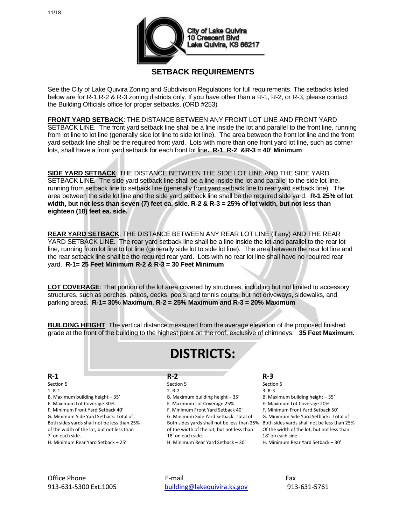

### **SETBACK REQUIREMENTS**

See the City of Lake Quivira Zoning and Subdivision Regulations for full requirements. The setbacks listed below are for R-1,R-2 & R-3 zoning districts only. If you have other than a R-1, R-2, or R-3, please contact the Building Officials office for proper setbacks. (ORD #253)

**FRONT YARD SETBACK**: THE DISTANCE BETWEEN ANY FRONT LOT LINE AND FRONT YARD SETBACK LINE. The front yard setback line shall be a line inside the lot and parallel to the front line, running from lot line to lot line (generally side lot line to side lot line). The area between the front lot line and the front yard setback line shall be the required front yard. Lots with more than one front yard lot line, such as corner lots, shall have a front yard setback for each front lot line**. R-1 R-2 &R-3 = 40' Minimum**

**SIDE YARD SETBACK**: THE DISTANCE BETWEEN THE SIDE LOT LINE AND THE SIDE YARD SETBACK LINE. The side yard setback line shall be a line inside the lot and parallel to the side lot line, running from setback line to setback line (generally front yard setback line to rear yard setback line). The area between the side lot line and the side yard setback line shall be the required side yard. **R-1 25% of lot width, but not less than seven (7) feet ea. side. R-2 & R-3 = 25% of lot width, but not less than eighteen (18) feet ea. side.** 

**REAR YARD SETBACK**: THE DISTANCE BETWEEN ANY REAR LOT LINE (if any) AND THE REAR YARD SETBACK LINE. The rear yard setback line shall be a line inside the lot and parallel to the rear lot line, running from lot line to lot line (generally side lot to side lot line). The area between the rear lot line and the rear setback line shall be the required rear yard. Lots with no rear lot line shall have no required rear yard. **R-1= 25 Feet Minimum R-2 & R-3 = 30 Feet Minimum**

**LOT COVERAGE**: That portion of the lot area covered by structures, including but not limited to accessory structures, such as porches, patios, decks, pools, and tennis courts, but not driveways, sidewalks, and parking areas. **R-1= 30% Maximum**. **R-2 = 25% Maximum and R-3 = 20% Maximum**

**BUILDING HEIGHT**: The vertical distance measured from the average elevation of the proposed finished grade at the front of the building to the highest point on the roof, exclusive of chimneys. **35 Feet Maximum.**

# **DISTRICTS:**

### **R-1 R-2 R-3**

Both sides yards shall not be less than 25% Both sides yards shall not be less than 25% Both sides yards shall not be less than 25% of the width of the lot, but not less than of the width of the lot, but not less than Of the width of the lot, but not less than

Section 5 Section 5 Section 5 Section 5 Section 5 Section 5 Section 5 Section 5 1. R-1 2. R-2 3. R-3 B. Maximum building height – 35' B. Maximum building height – 35' B. Maximum building height – 35' E. Maximum Lot Coverage 30% E. Maximum Lot Coverage 25% E. Maximum Lot Coverage 20% F. Minimum Front Yard Setback 40' F. Minimum Front Yard Setback 40' F. Minimum Front Yard Setback 50' 7' on each side. 18' on each side. 18' on each side.

G. Minimum Side Yard Setback: Total of G. Minimum Side Yard Setback: Total of G. Minimum Side Yard Setback: Total of H. Minimum Rear Yard Setback – 25' H. Minimum Rear Yard Setback – 30' H. Minimum Rear Yard Setback – 30'

Office Phone **E-mail** E-mail **E-mail E-mail** Fax 913-631-5300 Ext.1005 [building@lakequivira.ks.gov](mailto:building@lakequivira.ks.gov) 913-631-5761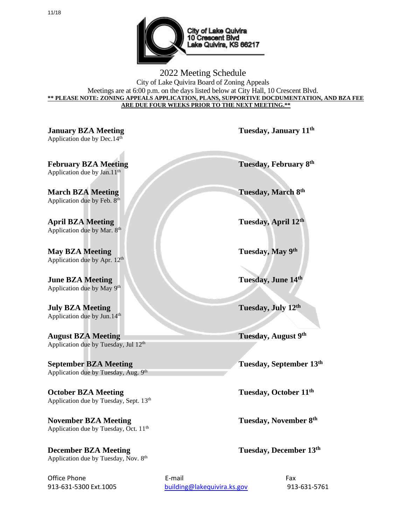

2022 Meeting Schedule City of Lake Quivira Board of Zoning Appeals Meetings are at 6:00 p.m. on the days listed below at City Hall, 10 Crescent Blvd. **\*\* PLEASE NOTE: ZONING APPEALS APPLICATION, PLANS, SUPPORTIVE DOCDUMENTATION, AND BZA FEE ARE DUE FOUR WEEKS PRIOR TO THE NEXT MEETING.\*\***

**January BZA Meeting Tuesday, January 11th** Application due by Dec. $14<sup>th</sup>$ 

**February BZA Meeting** Application due by Jan.11<sup>th</sup>

**March BZA Meeting** Application due by Feb. 8<sup>th</sup>

**April BZA Meeting Tuesday, April 12th** Application due by Mar. 8<sup>th</sup>

**May BZA Meeting** Application due by Apr. 12<sup>th</sup>

**June BZA Meeting** Application due by May 9<sup>th</sup>

**July BZA Meeting Tuesday, July 12th** Application due by Jun.14th

**August BZA** Meeting Application due by Tuesday, Jul 12<sup>th</sup>

**September BZA Meeting** Application due by Tuesday, Aug. 9<sup>th</sup>

**October BZA** Meeting Tuesday, October 11<sup>th</sup> Application due by Tuesday, Sept. 13<sup>th</sup>

**November BZA Meeting** Application due by Tuesday, Oct. 11<sup>th</sup>

**December BZA Meeting Tuesday, December 13<sup>th</sup>** Application due by Tuesday, Nov. 8<sup>th</sup>

**Tuesday, February 8th** 

**Tuesday, March 8th** 

**Tuesday**, May 9<sup>th</sup>

**Tuesday, June 14th** 

**Tuesday, August 9th** 

**Tuesday, September 13th** 

**Tuesday, November 8th** 

Office Phone **E-mail** E-mail **E-mail E-mail** Fax 913-631-5300 Ext.1005 [building@lakequivira.ks.gov](mailto:building@lakequivira.ks.gov) 913-631-5761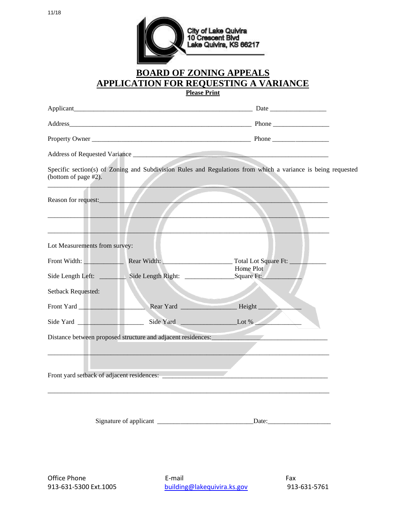

### **BOARD OF ZONING APPEALS APPLICATION FOR REQUESTING A VARIANCE**

**Please Print**

|                               |                                                         | Address of Requested Variance                                                                                |  |  |
|-------------------------------|---------------------------------------------------------|--------------------------------------------------------------------------------------------------------------|--|--|
| (bottom of page #2).          |                                                         | Specific section(s) of Zoning and Subdivision Rules and Regulations from which a variance is being requested |  |  |
| Reason for request:           |                                                         |                                                                                                              |  |  |
| Lot Measurements from survey: |                                                         |                                                                                                              |  |  |
|                               |                                                         | Front Width: Rear Width: Rear Width: Total Lot Square Ft:<br>Home Plot                                       |  |  |
|                               |                                                         |                                                                                                              |  |  |
| <b>Setback Requested:</b>     |                                                         |                                                                                                              |  |  |
| Front Yard                    |                                                         |                                                                                                              |  |  |
| Side Yard                     |                                                         | Side Yard Lot %                                                                                              |  |  |
|                               |                                                         | Distance between proposed structure and adjacent residences:                                                 |  |  |
|                               | Front yard setback of adjacent residences: ____________ |                                                                                                              |  |  |
|                               |                                                         | Date: $\overline{\phantom{a}}$                                                                               |  |  |

Office Phone **E-mail** E-mail **E-mail** E-mail **Fax** 

913-631-5300 Ext.1005 [building@lakequivira.ks.gov](mailto:building@lakequivira.ks.gov) 913-631-5761